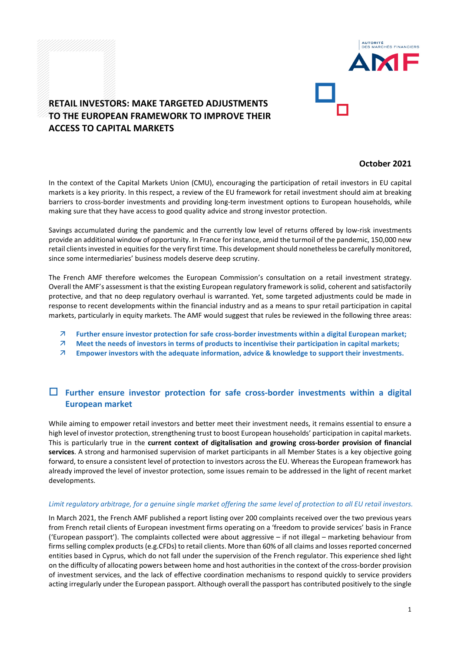

# **RETAIL INVESTORS: MAKE TARGETED ADJUSTMENTS TO THE EUROPEAN FRAMEWORK TO IMPROVE THEIR ACCESS TO CAPITAL MARKETS**

### **October 2021**

In the context of the Capital Markets Union (CMU), encouraging the participation of retail investors in EU capital markets is a key priority. In this respect, a review of the EU framework for retail investment should aim at breaking barriers to cross-border investments and providing long-term investment options to European households, while making sure that they have access to good quality advice and strong investor protection.

Savings accumulated during the pandemic and the currently low level of returns offered by low-risk investments provide an additional window of opportunity. In France for instance, amid the turmoil of the pandemic, 150,000 new retail clients invested in equities for the very first time. This development should nonetheless be carefully monitored, since some intermediaries' business models deserve deep scrutiny.

The French AMF therefore welcomes the European Commission's consultation on a retail investment strategy. Overall the AMF's assessment is that the existing European regulatory framework is solid, coherent and satisfactorily protective, and that no deep regulatory overhaul is warranted. Yet, some targeted adjustments could be made in response to recent developments within the financial industry and as a means to spur retail participation in capital markets, particularly in equity markets. The AMF would suggest that rules be reviewed in the following three areas:

- **Further ensure investor protection for safe cross-border investments within a digital European market;**
- **Meet the needs of investors in terms of products to incentivise their participation in capital markets;**
- **Empower investors with the adequate information, advice & knowledge to support their investments.**

## **Further ensure investor protection for safe cross-border investments within a digital European market**

While aiming to empower retail investors and better meet their investment needs, it remains essential to ensure a high level of investor protection, strengthening trust to boost European households' participation in capital markets. This is particularly true in the **current context of digitalisation and growing cross-border provision of financial services**. A strong and harmonised supervision of market participants in all Member States is a key objective going forward, to ensure a consistent level of protection to investors across the EU. Whereas the European framework has already improved the level of investor protection, some issues remain to be addressed in the light of recent market developments.

#### *Limit regulatory arbitrage, for a genuine single market offering the same level of protection to all EU retail investors.*

In March 2021, the French AMF published a report listing over 200 complaints received over the two previous years from French retail clients of European investment firms operating on a 'freedom to provide services' basis in France ('European passport'). The complaints collected were about aggressive – if not illegal – marketing behaviour from firms selling complex products (e.g.CFDs) to retail clients. More than 60% of all claims and losses reported concerned entities based in Cyprus, which do not fall under the supervision of the French regulator. This experience shed light on the difficulty of allocating powers between home and host authorities in the context of the cross-border provision of investment services, and the lack of effective coordination mechanisms to respond quickly to service providers acting irregularly under the European passport. Although overall the passport has contributed positively to the single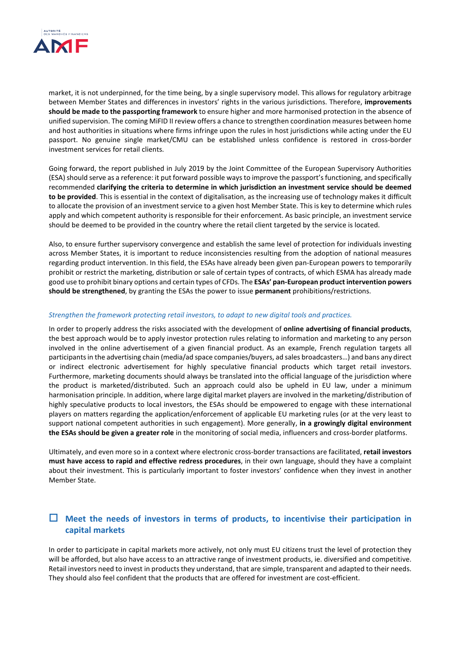

market, it is not underpinned, for the time being, by a single supervisory model. This allows for regulatory arbitrage between Member States and differences in investors' rights in the various jurisdictions. Therefore, **improvements should be made to the passporting framework** to ensure higher and more harmonised protection in the absence of unified supervision. The coming MiFID II review offers a chance to strengthen coordination measures between home and host authorities in situations where firms infringe upon the rules in host jurisdictions while acting under the EU passport. No genuine single market/CMU can be established unless confidence is restored in cross-border investment services for retail clients.

Going forward, the report published in July 2019 by the Joint Committee of the European Supervisory Authorities (ESA) should serve as a reference: it put forward possible ways to improve the passport's functioning, and specifically recommended **clarifying the criteria to determine in which jurisdiction an investment service should be deemed to be provided**. This is essential in the context of digitalisation, as the increasing use of technology makes it difficult to allocate the provision of an investment service to a given host Member State. This is key to determine which rules apply and which competent authority is responsible for their enforcement. As basic principle, an investment service should be deemed to be provided in the country where the retail client targeted by the service is located.

Also, to ensure further supervisory convergence and establish the same level of protection for individuals investing across Member States, it is important to reduce inconsistencies resulting from the adoption of national measures regarding product intervention. In this field, the ESAs have already been given pan-European powers to temporarily prohibit or restrict the marketing, distribution or sale of certain types of contracts, of which ESMA has already made good use to prohibit binary options and certain types of CFDs. The **ESAs' pan-European product intervention powers should be strengthened**, by granting the ESAs the power to issue **permanent** prohibitions/restrictions.

#### *Strengthen the framework protecting retail investors, to adapt to new digital tools and practices.*

In order to properly address the risks associated with the development of **online advertising of financial products**, the best approach would be to apply investor protection rules relating to information and marketing to any person involved in the online advertisement of a given financial product. As an example, French regulation targets all participants in the advertising chain (media/ad space companies/buyers, ad sales broadcasters…) and bans any direct or indirect electronic advertisement for highly speculative financial products which target retail investors. Furthermore, marketing documents should always be translated into the official language of the jurisdiction where the product is marketed/distributed. Such an approach could also be upheld in EU law, under a minimum harmonisation principle. In addition, where large digital market players are involved in the marketing/distribution of highly speculative products to local investors, the ESAs should be empowered to engage with these international players on matters regarding the application/enforcement of applicable EU marketing rules (or at the very least to support national competent authorities in such engagement). More generally, **in a growingly digital environment the ESAs should be given a greater role** in the monitoring of social media, influencers and cross-border platforms.

Ultimately, and even more so in a context where electronic cross-border transactions are facilitated, **retail investors must have access to rapid and effective redress procedures**, in their own language, should they have a complaint about their investment. This is particularly important to foster investors' confidence when they invest in another Member State.

### **Meet the needs of investors in terms of products, to incentivise their participation in capital markets**

In order to participate in capital markets more actively, not only must EU citizens trust the level of protection they will be afforded, but also have access to an attractive range of investment products, ie. diversified and competitive. Retail investors need to invest in products they understand, that are simple, transparent and adapted to their needs. They should also feel confident that the products that are offered for investment are cost-efficient.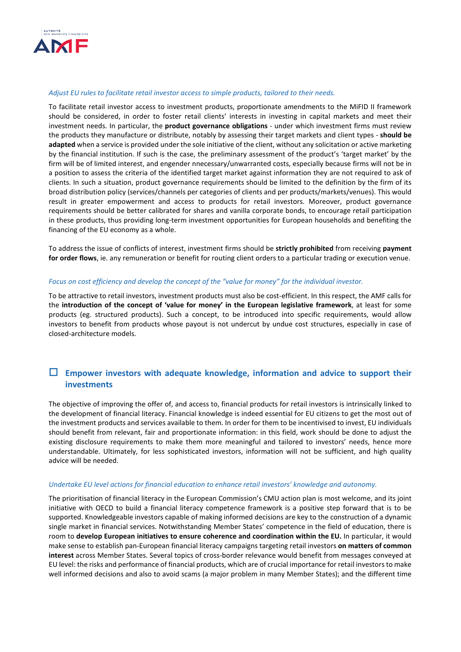

#### *Adjust EU rules to facilitate retail investor access to simple products, tailored to their needs.*

To facilitate retail investor access to investment products, proportionate amendments to the MiFID II framework should be considered, in order to foster retail clients' interests in investing in capital markets and meet their investment needs. In particular, the **product governance obligations** - under which investment firms must review the products they manufacture or distribute, notably by assessing their target markets and client types - **should be adapted** when a service is provided under the sole initiative of the client, without any solicitation or active marketing by the financial institution. If such is the case, the preliminary assessment of the product's 'target market' by the firm will be of limited interest, and engender nnecessary/unwarranted costs, especially because firms will not be in a position to assess the criteria of the identified target market against information they are not required to ask of clients. In such a situation, product governance requirements should be limited to the definition by the firm of its broad distribution policy (services/channels per categories of clients and per products/markets/venues). This would result in greater empowerment and access to products for retail investors. Moreover, product governance requirements should be better calibrated for shares and vanilla corporate bonds, to encourage retail participation in these products, thus providing long-term investment opportunities for European households and benefiting the financing of the EU economy as a whole.

To address the issue of conflicts of interest, investment firms should be **strictly prohibited** from receiving **payment for order flows**, ie. any remuneration or benefit for routing client orders to a particular trading or execution venue.

#### *Focus on cost efficiency and develop the concept of the "value for money" for the individual investor.*

To be attractive to retail investors, investment products must also be cost-efficient. In this respect, the AMF calls for the **introduction of the concept of 'value for money' in the European legislative framework**, at least for some products (eg. structured products). Such a concept, to be introduced into specific requirements, would allow investors to benefit from products whose payout is not undercut by undue cost structures, especially in case of closed-architecture models.

### **Empower investors with adequate knowledge, information and advice to support their investments**

The objective of improving the offer of, and access to, financial products for retail investors is intrinsically linked to the development of financial literacy. Financial knowledge is indeed essential for EU citizens to get the most out of the investment products and services available to them. In order for them to be incentivised to invest, EU individuals should benefit from relevant, fair and proportionate information: in this field, work should be done to adjust the existing disclosure requirements to make them more meaningful and tailored to investors' needs, hence more understandable. Ultimately, for less sophisticated investors, information will not be sufficient, and high quality advice will be needed.

#### *Undertake EU level actions for financial education to enhance retail investors' knowledge and autonomy.*

The prioritisation of financial literacy in the European Commission's CMU action plan is most welcome, and its joint initiative with OECD to build a financial literacy competence framework is a positive step forward that is to be supported. Knowledgeable investors capable of making informed decisions are key to the construction of a dynamic single market in financial services. Notwithstanding Member States' competence in the field of education, there is room to **develop European initiatives to ensure coherence and coordination within the EU.** In particular, it would make sense to establish pan-European financial literacy campaigns targeting retail investors **on matters of common interest** across Member States. Several topics of cross-border relevance would benefit from messages conveyed at EU level: the risks and performance of financial products, which are of crucial importance for retail investors to make well informed decisions and also to avoid scams (a major problem in many Member States); and the different time